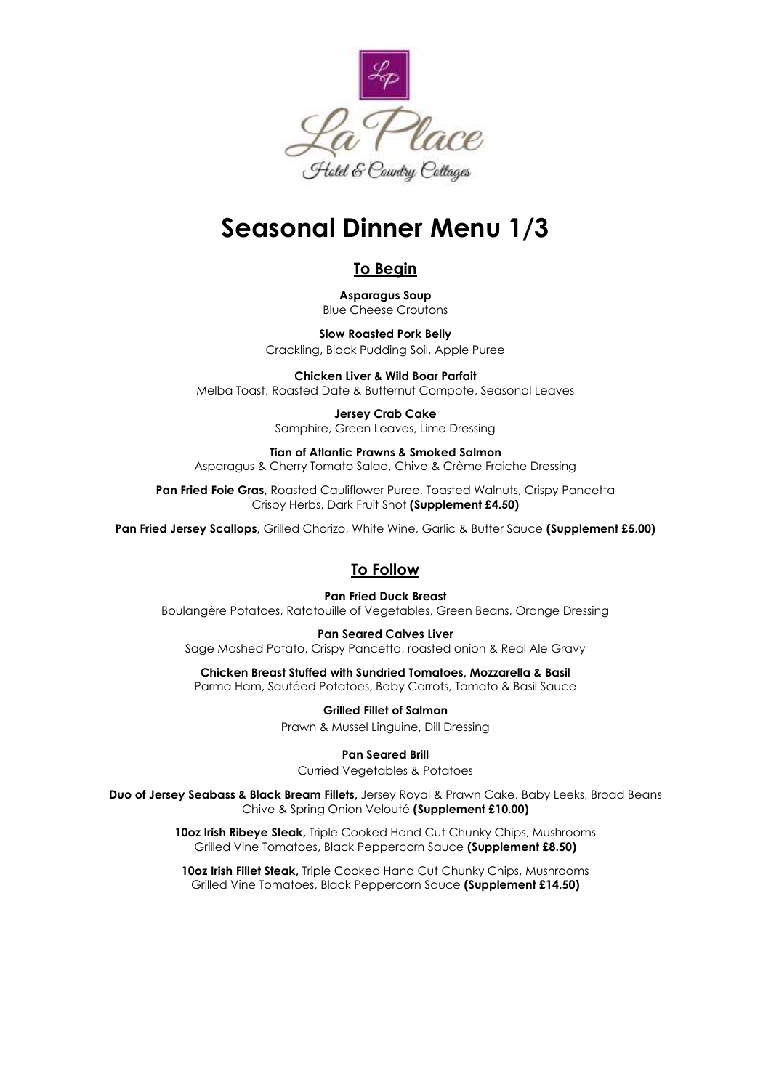

# **Seasonal Dinner Menu 1/3**

# **To Begin**

**Asparagus Soup** Blue Cheese Croutons

**Slow Roasted Pork Belly** Crackling, Black Pudding Soil, Apple Puree

**Chicken Liver & Wild Boar Parfait** Melba Toast, Roasted Date & Butternut Compote, Seasonal Leaves

> **Jersey Crab Cake** Samphire, Green Leaves, Lime Dressing

**Tian of Atlantic Prawns & Smoked Salmon** Asparagus & Cherry Tomato Salad, Chive & Crème Fraiche Dressing

Pan Fried Foie Gras, Roasted Cauliflower Puree, Toasted Walnuts, Crispy Pancetta Crispy Herbs, Dark Fruit Shot **(Supplement £4.50)**

**Pan Fried Jersey Scallops,** Grilled Chorizo, White Wine, Garlic & Butter Sauce **(Supplement £5.00)**

## **To Follow**

**Pan Fried Duck Breast** Boulangère Potatoes, Ratatouille of Vegetables, Green Beans, Orange Dressing

**Pan Seared Calves Liver** Sage Mashed Potato, Crispy Pancetta, roasted onion & Real Ale Gravy

**Chicken Breast Stuffed with Sundried Tomatoes, Mozzarella & Basil** Parma Ham, Sautéed Potatoes, Baby Carrots, Tomato & Basil Sauce

> **Grilled Fillet of Salmon** Prawn & Mussel Linguine, Dill Dressing

> > **Pan Seared Brill**

Curried Vegetables & Potatoes

**Duo of Jersey Seabass & Black Bream Fillets,** Jersey Royal & Prawn Cake, Baby Leeks, Broad Beans Chive & Spring Onion Velouté **(Supplement £10.00)**

> **10oz Irish Ribeye Steak,** Triple Cooked Hand Cut Chunky Chips, Mushrooms Grilled Vine Tomatoes, Black Peppercorn Sauce **(Supplement £8.50)**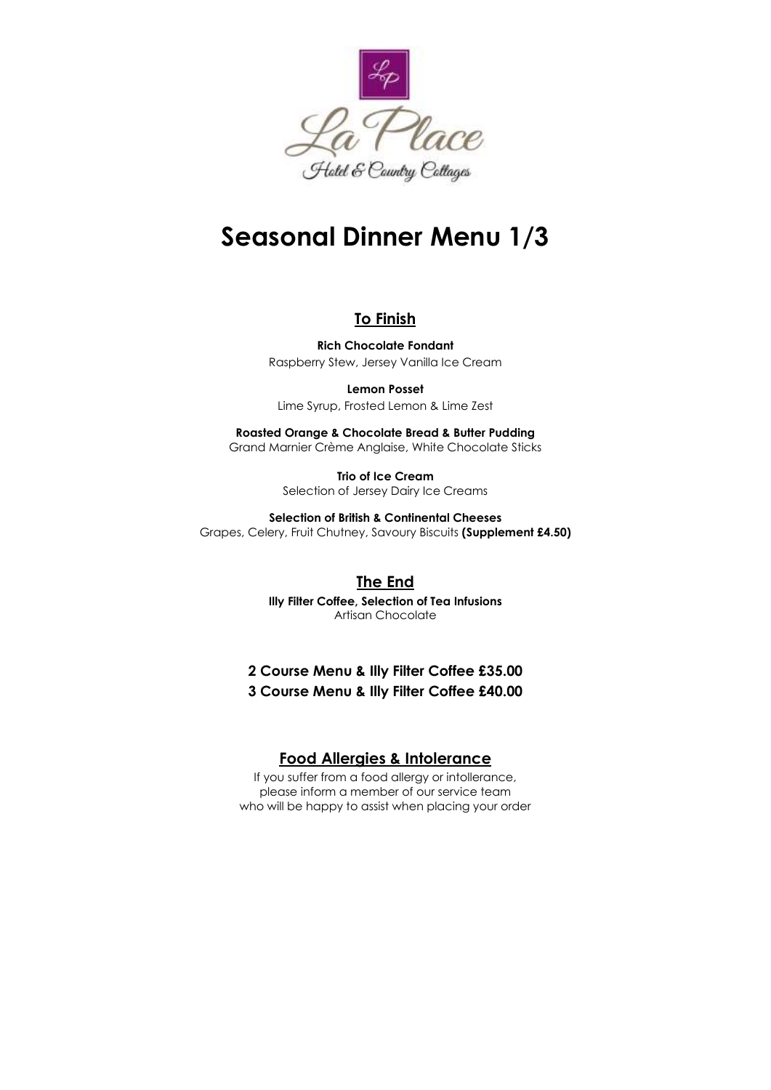

# **Seasonal Dinner Menu 1/3**

#### **To Finish**

**Rich Chocolate Fondant** Raspberry Stew, Jersey Vanilla Ice Cream

**Lemon Posset**  Lime Syrup, Frosted Lemon & Lime Zest

**Roasted Orange & Chocolate Bread & Butter Pudding** Grand Marnier Crème Anglaise, White Chocolate Sticks

> **Trio of Ice Cream** Selection of Jersey Dairy Ice Creams

**Selection of British & Continental Cheeses** Grapes, Celery, Fruit Chutney, Savoury Biscuits **(Supplement £4.50)**

## **The End**

**Illy Filter Coffee, Selection of Tea Infusions** Artisan Chocolate

## **2 Course Menu & Illy Filter Coffee £35.00 3 Course Menu & Illy Filter Coffee £40.00**

#### **Food Allergies & Intolerance**

If you suffer from a food allergy or intollerance, please inform a member of our service team who will be happy to assist when placing your order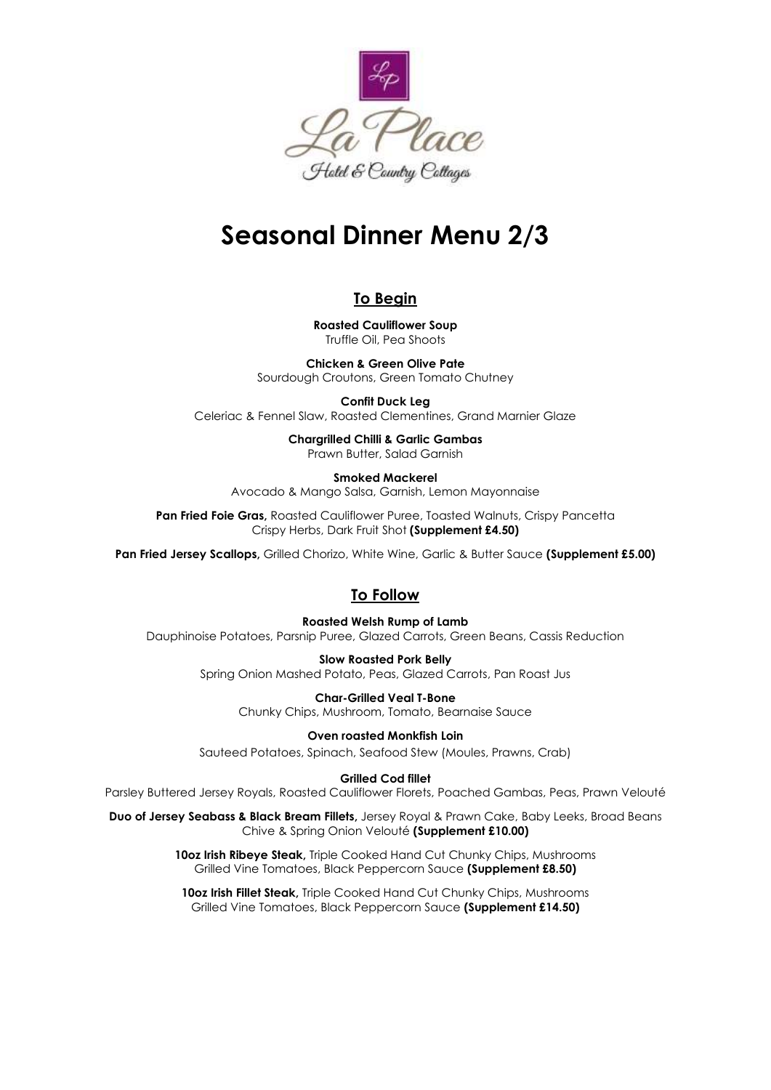

# **Seasonal Dinner Menu 2/3**

## **To Begin**

**Roasted Cauliflower Soup** Truffle Oil, Pea Shoots

**Chicken & Green Olive Pate** Sourdough Croutons, Green Tomato Chutney

**Confit Duck Leg** Celeriac & Fennel Slaw, Roasted Clementines, Grand Marnier Glaze

> **Chargrilled Chilli & Garlic Gambas** Prawn Butter, Salad Garnish

**Smoked Mackerel** Avocado & Mango Salsa, Garnish, Lemon Mayonnaise

**Pan Fried Foie Gras,** Roasted Cauliflower Puree, Toasted Walnuts, Crispy Pancetta Crispy Herbs, Dark Fruit Shot **(Supplement £4.50)**

**Pan Fried Jersey Scallops,** Grilled Chorizo, White Wine, Garlic & Butter Sauce **(Supplement £5.00)**

# **To Follow**

**Roasted Welsh Rump of Lamb** Dauphinoise Potatoes, Parsnip Puree, Glazed Carrots, Green Beans, Cassis Reduction

> **Slow Roasted Pork Belly** Spring Onion Mashed Potato, Peas, Glazed Carrots, Pan Roast Jus

> > **Char-Grilled Veal T-Bone** Chunky Chips, Mushroom, Tomato, Bearnaise Sauce

**Oven roasted Monkfish Loin** Sauteed Potatoes, Spinach, Seafood Stew (Moules, Prawns, Crab)

**Grilled Cod fillet**

Parsley Buttered Jersey Royals, Roasted Cauliflower Florets, Poached Gambas, Peas, Prawn Velouté

**Duo of Jersey Seabass & Black Bream Fillets,** Jersey Royal & Prawn Cake, Baby Leeks, Broad Beans Chive & Spring Onion Velouté **(Supplement £10.00)**

> **10oz Irish Ribeye Steak,** Triple Cooked Hand Cut Chunky Chips, Mushrooms Grilled Vine Tomatoes, Black Peppercorn Sauce **(Supplement £8.50)**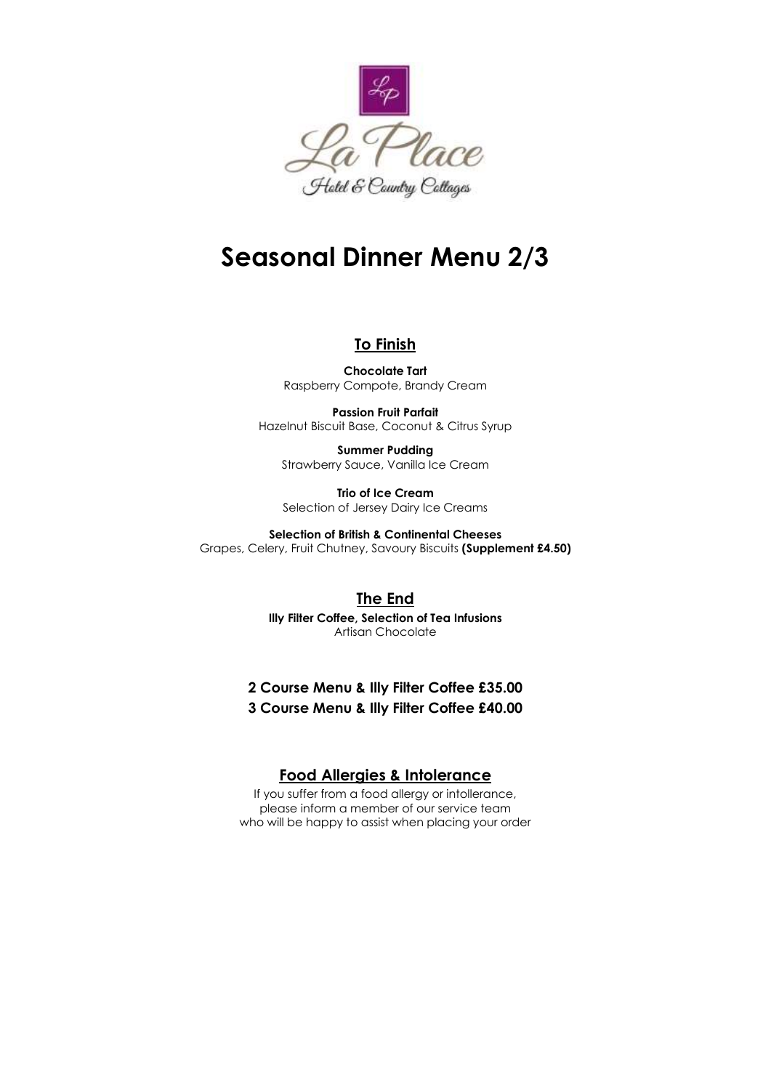

# **Seasonal Dinner Menu 2/3**

#### **To Finish**

**Chocolate Tart** Raspberry Compote, Brandy Cream

**Passion Fruit Parfait** Hazelnut Biscuit Base, Coconut & Citrus Syrup

**Summer Pudding** Strawberry Sauce, Vanilla Ice Cream

**Trio of Ice Cream** Selection of Jersey Dairy Ice Creams

**Selection of British & Continental Cheeses** Grapes, Celery, Fruit Chutney, Savoury Biscuits **(Supplement £4.50)**

#### **The End**

**Illy Filter Coffee, Selection of Tea Infusions** Artisan Chocolate

### **2 Course Menu & Illy Filter Coffee £35.00 3 Course Menu & Illy Filter Coffee £40.00**

#### **Food Allergies & Intolerance**

If you suffer from a food allergy or intollerance, please inform a member of our service team who will be happy to assist when placing your order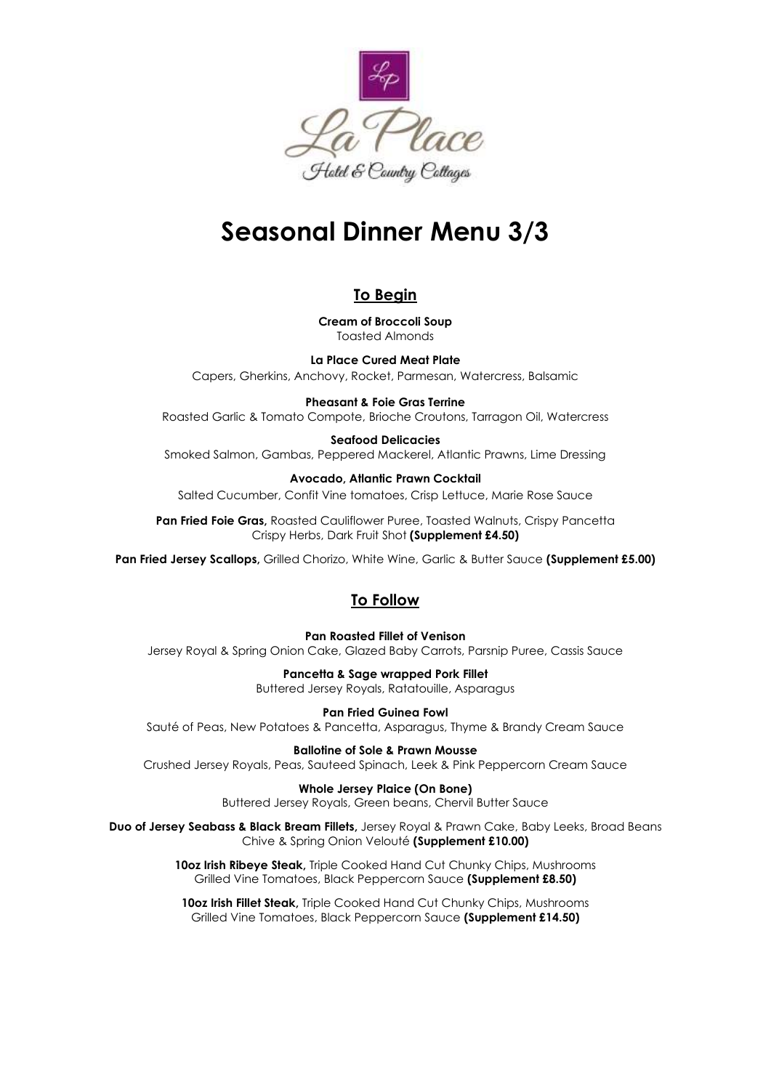

# **Seasonal Dinner Menu 3/3**

## **To Begin**

**Cream of Broccoli Soup** Toasted Almonds

**La Place Cured Meat Plate** Capers, Gherkins, Anchovy, Rocket, Parmesan, Watercress, Balsamic

**Pheasant & Foie Gras Terrine** Roasted Garlic & Tomato Compote, Brioche Croutons, Tarragon Oil, Watercress

# **Seafood Delicacies**

Smoked Salmon, Gambas, Peppered Mackerel, Atlantic Prawns, Lime Dressing

**Avocado, Atlantic Prawn Cocktail** Salted Cucumber, Confit Vine tomatoes, Crisp Lettuce, Marie Rose Sauce

Pan Fried Foie Gras, Roasted Cauliflower Puree, Toasted Walnuts, Crispy Pancetta Crispy Herbs, Dark Fruit Shot **(Supplement £4.50)**

**Pan Fried Jersey Scallops,** Grilled Chorizo, White Wine, Garlic & Butter Sauce **(Supplement £5.00)**

# **To Follow**

**Pan Roasted Fillet of Venison** Jersey Royal & Spring Onion Cake, Glazed Baby Carrots, Parsnip Puree, Cassis Sauce

> **Pancetta & Sage wrapped Pork Fillet** Buttered Jersey Royals, Ratatouille, Asparagus

**Pan Fried Guinea Fowl** Sauté of Peas, New Potatoes & Pancetta, Asparagus, Thyme & Brandy Cream Sauce

**Ballotine of Sole & Prawn Mousse** Crushed Jersey Royals, Peas, Sauteed Spinach, Leek & Pink Peppercorn Cream Sauce

> **Whole Jersey Plaice (On Bone)** Buttered Jersey Royals, Green beans, Chervil Butter Sauce

**Duo of Jersey Seabass & Black Bream Fillets,** Jersey Royal & Prawn Cake, Baby Leeks, Broad Beans Chive & Spring Onion Velouté **(Supplement £10.00)**

> **10oz Irish Ribeye Steak,** Triple Cooked Hand Cut Chunky Chips, Mushrooms Grilled Vine Tomatoes, Black Peppercorn Sauce **(Supplement £8.50)**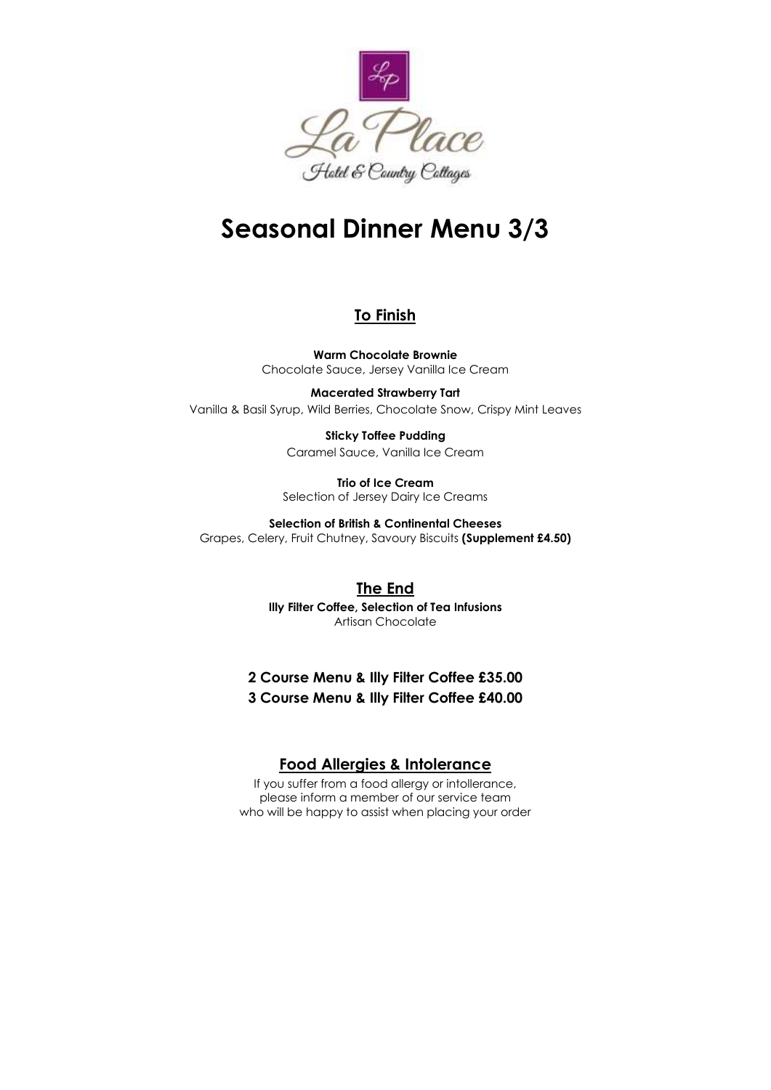

# **Seasonal Dinner Menu 3/3**

### **To Finish**

**Warm Chocolate Brownie** Chocolate Sauce, Jersey Vanilla Ice Cream

**Macerated Strawberry Tart** Vanilla & Basil Syrup, Wild Berries, Chocolate Snow, Crispy Mint Leaves

> **Sticky Toffee Pudding** Caramel Sauce, Vanilla Ice Cream

**Trio of Ice Cream**

Selection of Jersey Dairy Ice Creams

**Selection of British & Continental Cheeses**

Grapes, Celery, Fruit Chutney, Savoury Biscuits **(Supplement £4.50)**

## **The End**

**Illy Filter Coffee, Selection of Tea Infusions** Artisan Chocolate

# **2 Course Menu & Illy Filter Coffee £35.00 3 Course Menu & Illy Filter Coffee £40.00**

# **Food Allergies & Intolerance**

If you suffer from a food allergy or intollerance, please inform a member of our service team who will be happy to assist when placing your order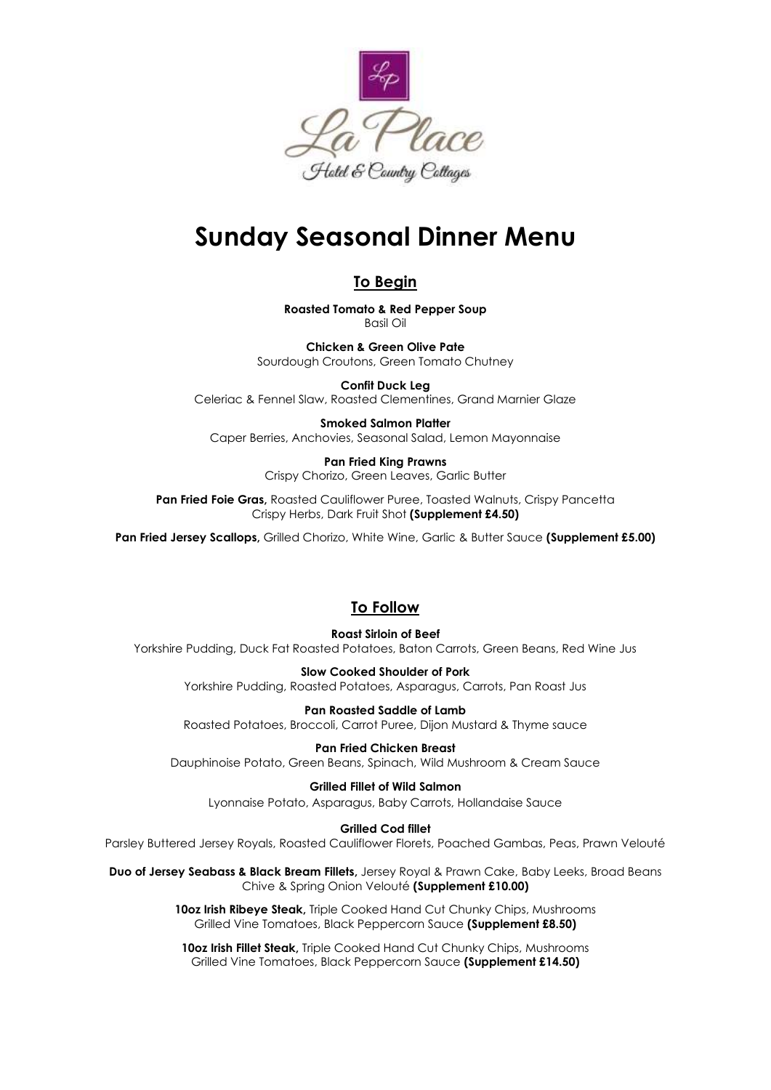

# **Sunday Seasonal Dinner Menu**

## **To Begin**

**Roasted Tomato & Red Pepper Soup** Basil Oil

**Chicken & Green Olive Pate** Sourdough Croutons, Green Tomato Chutney

**Confit Duck Leg** Celeriac & Fennel Slaw, Roasted Clementines, Grand Marnier Glaze

**Smoked Salmon Platter** Caper Berries, Anchovies, Seasonal Salad, Lemon Mayonnaise

> **Pan Fried King Prawns** Crispy Chorizo, Green Leaves, Garlic Butter

**Pan Fried Foie Gras,** Roasted Cauliflower Puree, Toasted Walnuts, Crispy Pancetta Crispy Herbs, Dark Fruit Shot **(Supplement £4.50)**

**Pan Fried Jersey Scallops,** Grilled Chorizo, White Wine, Garlic & Butter Sauce **(Supplement £5.00)**

## **To Follow**

**Roast Sirloin of Beef** Yorkshire Pudding, Duck Fat Roasted Potatoes, Baton Carrots, Green Beans, Red Wine Jus

**Slow Cooked Shoulder of Pork**  Yorkshire Pudding, Roasted Potatoes, Asparagus, Carrots, Pan Roast Jus

**Pan Roasted Saddle of Lamb** Roasted Potatoes, Broccoli, Carrot Puree, Dijon Mustard & Thyme sauce

**Pan Fried Chicken Breast** Dauphinoise Potato, Green Beans, Spinach, Wild Mushroom & Cream Sauce

**Grilled Fillet of Wild Salmon** Lyonnaise Potato, Asparagus, Baby Carrots, Hollandaise Sauce

**Grilled Cod fillet**

Parsley Buttered Jersey Royals, Roasted Cauliflower Florets, Poached Gambas, Peas, Prawn Velouté

**Duo of Jersey Seabass & Black Bream Fillets,** Jersey Royal & Prawn Cake, Baby Leeks, Broad Beans Chive & Spring Onion Velouté **(Supplement £10.00)**

> **10oz Irish Ribeye Steak,** Triple Cooked Hand Cut Chunky Chips, Mushrooms Grilled Vine Tomatoes, Black Peppercorn Sauce **(Supplement £8.50)**